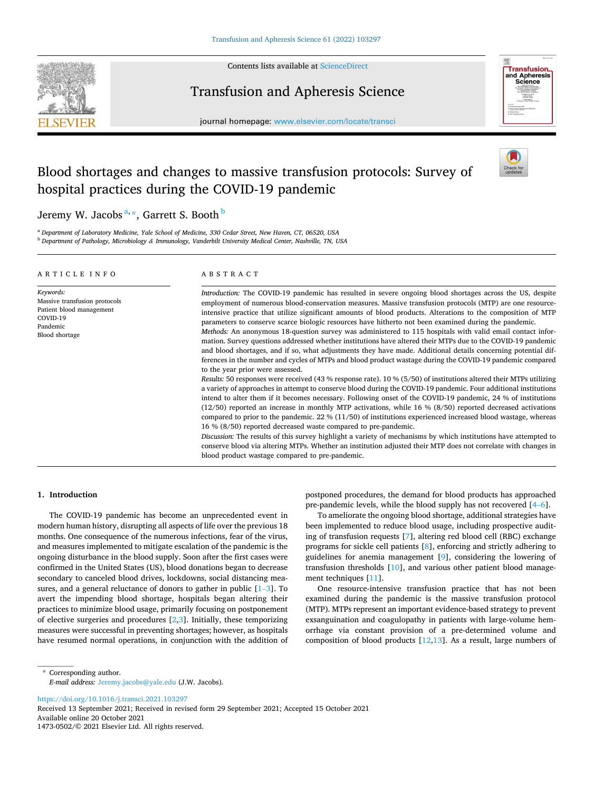

Contents lists available at [ScienceDirect](www.sciencedirect.com/science/journal/14730502)

# Transfusion and Apheresis Science





# Blood shortages and changes to massive transfusion protocols: Survey of hospital practices during the COVID-19 pandemic



Jeremy W. Jacobs  $\mathrm{a},\mathrm{*},$  Garrett S. Booth  $^{\mathrm{b}}$ 

<sup>a</sup> *Department of Laboratory Medicine, Yale School of Medicine, 330 Cedar Street, New Haven, CT, 06520, USA* <sup>b</sup> *Department of Pathology, Microbiology & Immunology, Vanderbilt University Medical Center, Nashville, TN, USA* 

| ARTICLE INFO                                                                                                     | ABSTRACT                                                                                                                                                                                                                                                                                                                                                                                                                                                                                                                                                                                                                                                                                                                                                                                                                                                                                                                                                                                                                                                                                                                                                                                                                                                                                                                                                                                                                                                                                                                                                                                                                                                                                                                                                                                                                                                                                             |  |  |  |  |  |
|------------------------------------------------------------------------------------------------------------------|------------------------------------------------------------------------------------------------------------------------------------------------------------------------------------------------------------------------------------------------------------------------------------------------------------------------------------------------------------------------------------------------------------------------------------------------------------------------------------------------------------------------------------------------------------------------------------------------------------------------------------------------------------------------------------------------------------------------------------------------------------------------------------------------------------------------------------------------------------------------------------------------------------------------------------------------------------------------------------------------------------------------------------------------------------------------------------------------------------------------------------------------------------------------------------------------------------------------------------------------------------------------------------------------------------------------------------------------------------------------------------------------------------------------------------------------------------------------------------------------------------------------------------------------------------------------------------------------------------------------------------------------------------------------------------------------------------------------------------------------------------------------------------------------------------------------------------------------------------------------------------------------------|--|--|--|--|--|
| Keywords:<br>Massive transfusion protocols<br>Patient blood management<br>COVID-19<br>Pandemic<br>Blood shortage | Introduction: The COVID-19 pandemic has resulted in severe ongoing blood shortages across the US, despite<br>employment of numerous blood-conservation measures. Massive transfusion protocols (MTP) are one resource-<br>intensive practice that utilize significant amounts of blood products. Alterations to the composition of MTP<br>parameters to conserve scarce biologic resources have hitherto not been examined during the pandemic.<br>Methods: An anonymous 18-question survey was administered to 115 hospitals with valid email contact infor-<br>mation. Survey questions addressed whether institutions have altered their MTPs due to the COVID-19 pandemic<br>and blood shortages, and if so, what adjustments they have made. Additional details concerning potential dif-<br>ferences in the number and cycles of MTPs and blood product wastage during the COVID-19 pandemic compared<br>to the year prior were assessed.<br>Results: 50 responses were received (43 % response rate). 10 % (5/50) of institutions altered their MTPs utilizing<br>a variety of approaches in attempt to conserve blood during the COVID-19 pandemic. Four additional institutions<br>intend to alter them if it becomes necessary. Following onset of the COVID-19 pandemic, 24 % of institutions<br>$(12/50)$ reported an increase in monthly MTP activations, while 16 % $(8/50)$ reported decreased activations<br>compared to prior to the pandemic. 22 % (11/50) of institutions experienced increased blood wastage, whereas<br>16 % (8/50) reported decreased waste compared to pre-pandemic.<br>Discussion: The results of this survey highlight a variety of mechanisms by which institutions have attempted to<br>conserve blood via altering MTPs. Whether an institution adjusted their MTP does not correlate with changes in<br>blood product wastage compared to pre-pandemic. |  |  |  |  |  |

# **1. Introduction**

The COVID-19 pandemic has become an unprecedented event in modern human history, disrupting all aspects of life over the previous 18 months. One consequence of the numerous infections, fear of the virus, and measures implemented to mitigate escalation of the pandemic is the ongoing disturbance in the blood supply. Soon after the first cases were confirmed in the United States (US), blood donations began to decrease secondary to canceled blood drives, lockdowns, social distancing measures, and a general reluctance of donors to gather in public [\[1](#page-4-0)–3]. To avert the impending blood shortage, hospitals began altering their practices to minimize blood usage, primarily focusing on postponement of elective surgeries and procedures [[2,3\]](#page-4-0). Initially, these temporizing measures were successful in preventing shortages; however, as hospitals have resumed normal operations, in conjunction with the addition of

postponed procedures, the demand for blood products has approached pre-pandemic levels, while the blood supply has not recovered [4–[6\]](#page-4-0).

To ameliorate the ongoing blood shortage, additional strategies have been implemented to reduce blood usage, including prospective auditing of transfusion requests [[7](#page-4-0)], altering red blood cell (RBC) exchange programs for sickle cell patients [[8](#page-4-0)], enforcing and strictly adhering to guidelines for anemia management [\[9\]](#page-4-0), considering the lowering of transfusion thresholds [[10\]](#page-4-0), and various other patient blood management techniques [\[11](#page-4-0)].

One resource-intensive transfusion practice that has not been examined during the pandemic is the massive transfusion protocol (MTP). MTPs represent an important evidence-based strategy to prevent exsanguination and coagulopathy in patients with large-volume hemorrhage via constant provision of a pre-determined volume and composition of blood products  $[12,13]$  $[12,13]$ . As a result, large numbers of

\* Corresponding author. *E-mail address:* [Jeremy.jacobs@yale.edu](mailto:Jeremy.jacobs@yale.edu) (J.W. Jacobs).

<https://doi.org/10.1016/j.transci.2021.103297>

Available online 20 October 2021 1473-0502/© 2021 Elsevier Ltd. All rights reserved. Received 13 September 2021; Received in revised form 29 September 2021; Accepted 15 October 2021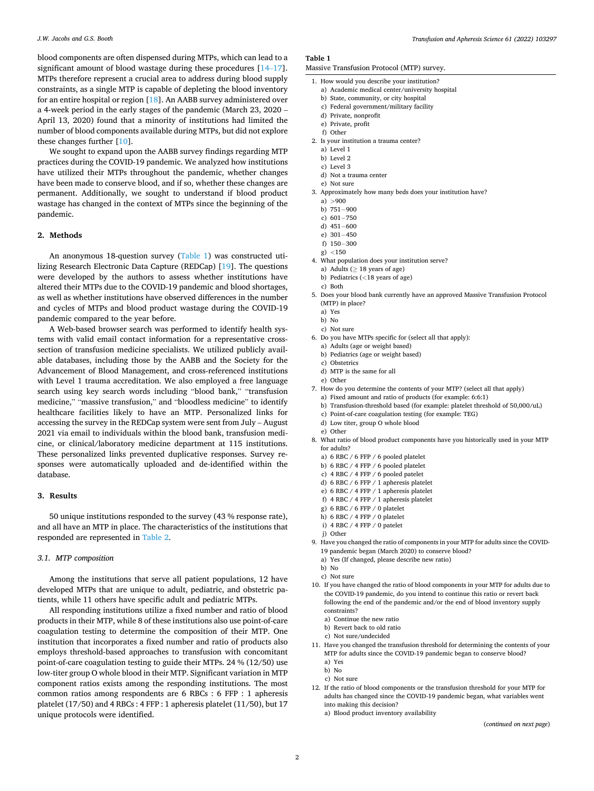blood components are often dispensed during MTPs, which can lead to a significant amount of blood wastage during these procedures [\[14](#page-4-0)–17]. MTPs therefore represent a crucial area to address during blood supply constraints, as a single MTP is capable of depleting the blood inventory for an entire hospital or region [[18\]](#page-4-0). An AABB survey administered over a 4-week period in the early stages of the pandemic (March 23, 2020 – April 13, 2020) found that a minority of institutions had limited the number of blood components available during MTPs, but did not explore these changes further [\[10](#page-4-0)].

We sought to expand upon the AABB survey findings regarding MTP practices during the COVID-19 pandemic. We analyzed how institutions have utilized their MTPs throughout the pandemic, whether changes have been made to conserve blood, and if so, whether these changes are permanent. Additionally, we sought to understand if blood product wastage has changed in the context of MTPs since the beginning of the pandemic.

# **2. Methods**

An anonymous 18-question survey (Table 1) was constructed utilizing Research Electronic Data Capture (REDCap) [\[19](#page-4-0)]. The questions were developed by the authors to assess whether institutions have altered their MTPs due to the COVID-19 pandemic and blood shortages, as well as whether institutions have observed differences in the number and cycles of MTPs and blood product wastage during the COVID-19 pandemic compared to the year before.

A Web-based browser search was performed to identify health systems with valid email contact information for a representative crosssection of transfusion medicine specialists. We utilized publicly available databases, including those by the AABB and the Society for the Advancement of Blood Management, and cross-referenced institutions with Level 1 trauma accreditation. We also employed a free language search using key search words including "blood bank," "transfusion medicine," "massive transfusion," and "bloodless medicine" to identify healthcare facilities likely to have an MTP. Personalized links for accessing the survey in the REDCap system were sent from July – August 2021 via email to individuals within the blood bank, transfusion medicine, or clinical/laboratory medicine department at 115 institutions. These personalized links prevented duplicative responses. Survey responses were automatically uploaded and de-identified within the database.

#### **3. Results**

50 unique institutions responded to the survey (43 % response rate), and all have an MTP in place. The characteristics of the institutions that responded are represented in [Table 2](#page-2-0).

### *3.1. MTP composition*

Among the institutions that serve all patient populations, 12 have developed MTPs that are unique to adult, pediatric, and obstetric patients, while 11 others have specific adult and pediatric MTPs.

All responding institutions utilize a fixed number and ratio of blood products in their MTP, while 8 of these institutions also use point-of-care coagulation testing to determine the composition of their MTP. One institution that incorporates a fixed number and ratio of products also employs threshold-based approaches to transfusion with concomitant point-of-care coagulation testing to guide their MTPs. 24 % (12/50) use low-titer group O whole blood in their MTP. Significant variation in MTP component ratios exists among the responding institutions. The most common ratios among respondents are 6 RBCs : 6 FFP : 1 apheresis platelet (17/50) and 4 RBCs : 4 FFP : 1 apheresis platelet (11/50), but 17 unique protocols were identified.

#### **Table 1**

- Massive Transfusion Protocol (MTP) survey.
- 1. How would you describe your institution?
	- a) Academic medical center/university hospital
	- b) State, community, or city hospital
	- c) Federal government/military facility
	- d) Private, nonprofit
	- e) Private, profit
	- f) Other
- 2. Is your institution a trauma center?
	- a) Level 1 b) Level 2
	- c) Level 3
	- d) Not a trauma center
	- e) Not sure
- 3. Approximately how many beds does your institution have?
	- a)  $>900$
	- b) 751− 900
	- c) 601− 750
	- d) 451− 600
	- e) 301− 450
	- f) 150− 300
	- g) *<*150
- 4. What population does your institution serve?
- a) Adults ( $\geq$  18 years of age)
- b) Pediatrics (*<*18 years of age)
- c) Both
- 5. Does your blood bank currently have an approved Massive Transfusion Protocol (MTP) in place?
	- a) Yes
	- b) No
	- c) Not sure
- 6. Do you have MTPs specific for (select all that apply):
	- a) Adults (age or weight based)
	- b) Pediatrics (age or weight based)
	- c) Obstetrics
	- d) MTP is the same for all e) Other
- 7. How do you determine the contents of your MTP? (select all that apply)
	- a) Fixed amount and ratio of products (for example: 6:6:1)
	- b) Transfusion-threshold based (for example: platelet threshold of 50,000/uL)
	- c) Point-of-care coagulation testing (for example: TEG)
	- d) Low titer, group O whole blood
- e) Other
- 8. What ratio of blood product components have you historically used in your MTP for adults?
	- a) 6 RBC / 6 FFP / 6 pooled platelet
	- b) 6 RBC / 4 FFP / 6 pooled platelet
	- c) 4 RBC / 4 FFP / 6 pooled patelet
	- d) 6 RBC / 6 FFP / 1 apheresis platelet
	- e) 6 RBC / 4 FFP / 1 apheresis platelet
	- f) 4 RBC / 4 FFP / 1 apheresis platelet
	- g) 6 RBC / 6 FFP / 0 platelet
	- h) 6 RBC / 4 FFP / 0 platelet
	- i)  $4 RBC / 4 FFP / 0$  patelet
	- j) Other
- 9. Have you changed the ratio of components in your MTP for adults since the COVID-19 pandemic began (March 2020) to conserve blood?
	- a) Yes (If changed, please describe new ratio)
	- b) No
	- c) Not sure
- 10. If you have changed the ratio of blood components in your MTP for adults due to the COVID-19 pandemic, do you intend to continue this ratio or revert back following the end of the pandemic and/or the end of blood inventory supply constraints?
	- a) Continue the new ratio
	- b) Revert back to old ratio
	- c) Not sure/undecided
- 11. Have you changed the transfusion threshold for determining the contents of your MTP for adults since the COVID-19 pandemic began to conserve blood?
	- a) Yes
	- b) No
	- c) Not sure
- 12. If the ratio of blood components or the transfusion threshold for your MTP for adults has changed since the COVID-19 pandemic began, what variables went into making this decision?
	- a) Blood product inventory availability

(*continued on next page*)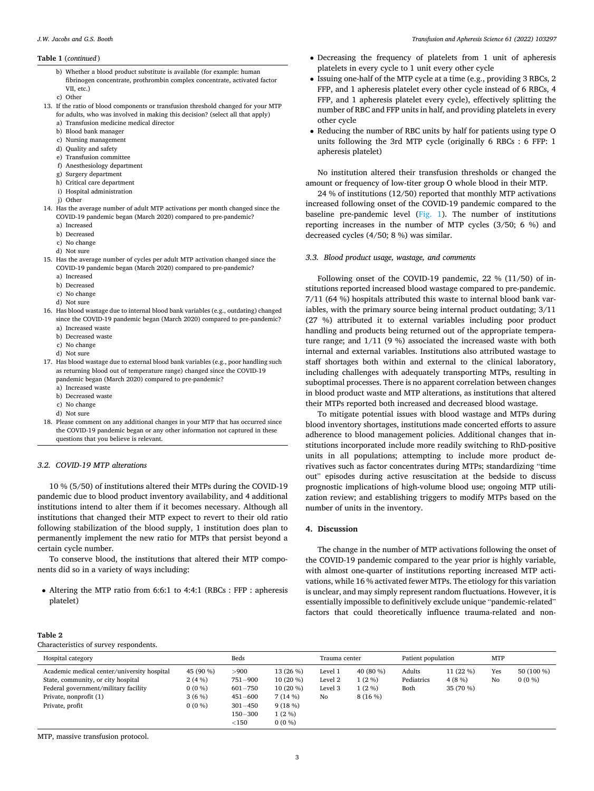#### <span id="page-2-0"></span>**Table 1** (*continued* )

- b) Whether a blood product substitute is available (for example: human fibrinogen concentrate, prothrombin complex concentrate, activated factor VII, etc.)
- c) Other
- 13. If the ratio of blood components or transfusion threshold changed for your MTP for adults, who was involved in making this decision? (select all that apply)
	- a) Transfusion medicine medical director
	- b) Blood bank manager
	- c) Nursing management
	- d) Quality and safety
	- e) Transfusion committee
	- f) Anesthesiology department
	- g) Surgery department
	- h) Critical care department
	- i) Hospital administration
	- j) Other
- 14. Has the average number of adult MTP activations per month changed since the COVID-19 pandemic began (March 2020) compared to pre-pandemic?
	- a) Increased
	- b) Decreased
	- c) No change
	- d) Not sure
- 15. Has the average number of cycles per adult MTP activation changed since the COVID-19 pandemic began (March 2020) compared to pre-pandemic?
	- a) Increased
	- b) Decreased
	- c) No change
	- d) Not sure
- 16. Has blood wastage due to internal blood bank variables (e.g., outdating) changed since the COVID-19 pandemic began (March 2020) compared to pre-pandemic? a) Increased waste
	- b) Decreased waste
	- c) No change
	- d) Not sure
- 17. Has blood wastage due to external blood bank variables (e.g., poor handling such as returning blood out of temperature range) changed since the COVID-19 pandemic began (March 2020) compared to pre-pandemic?
	- a) Increased waste
	- b) Decreased waste
	- c) No change d) Not sure
	-
- 18. Please comment on any additional changes in your MTP that has occurred since the COVID-19 pandemic began or any other information not captured in these questions that you believe is relevant.

#### *3.2. COVID-19 MTP alterations*

10 % (5/50) of institutions altered their MTPs during the COVID-19 pandemic due to blood product inventory availability, and 4 additional institutions intend to alter them if it becomes necessary. Although all institutions that changed their MTP expect to revert to their old ratio following stabilization of the blood supply, 1 institution does plan to permanently implement the new ratio for MTPs that persist beyond a certain cycle number.

To conserve blood, the institutions that altered their MTP components did so in a variety of ways including:

• Altering the MTP ratio from 6:6:1 to 4:4:1 (RBCs : FFP : apheresis platelet)

- Decreasing the frequency of platelets from 1 unit of apheresis platelets in every cycle to 1 unit every other cycle
- Issuing one-half of the MTP cycle at a time (e.g., providing 3 RBCs, 2 FFP, and 1 apheresis platelet every other cycle instead of 6 RBCs, 4 FFP, and 1 apheresis platelet every cycle), effectively splitting the number of RBC and FFP units in half, and providing platelets in every other cycle
- Reducing the number of RBC units by half for patients using type O units following the 3rd MTP cycle (originally 6 RBCs : 6 FFP: 1 apheresis platelet)

No institution altered their transfusion thresholds or changed the amount or frequency of low-titer group O whole blood in their MTP.

24 % of institutions (12/50) reported that monthly MTP activations increased following onset of the COVID-19 pandemic compared to the baseline pre-pandemic level [\(Fig. 1](#page-3-0)). The number of institutions reporting increases in the number of MTP cycles (3/50; 6 %) and decreased cycles (4/50; 8 %) was similar.

## *3.3. Blood product usage, wastage, and comments*

Following onset of the COVID-19 pandemic, 22 % (11/50) of institutions reported increased blood wastage compared to pre-pandemic. 7/11 (64 %) hospitals attributed this waste to internal blood bank variables, with the primary source being internal product outdating; 3/11 (27 %) attributed it to external variables including poor product handling and products being returned out of the appropriate temperature range; and 1/11 (9 %) associated the increased waste with both internal and external variables. Institutions also attributed wastage to staff shortages both within and external to the clinical laboratory, including challenges with adequately transporting MTPs, resulting in suboptimal processes. There is no apparent correlation between changes in blood product waste and MTP alterations, as institutions that altered their MTPs reported both increased and decreased blood wastage.

To mitigate potential issues with blood wastage and MTPs during blood inventory shortages, institutions made concerted efforts to assure adherence to blood management policies. Additional changes that institutions incorporated include more readily switching to RhD-positive units in all populations; attempting to include more product derivatives such as factor concentrates during MTPs; standardizing "time out" episodes during active resuscitation at the bedside to discuss prognostic implications of high-volume blood use; ongoing MTP utilization review; and establishing triggers to modify MTPs based on the number of units in the inventory.

#### **4. Discussion**

The change in the number of MTP activations following the onset of the COVID-19 pandemic compared to the year prior is highly variable, with almost one-quarter of institutions reporting increased MTP activations, while 16 % activated fewer MTPs. The etiology for this variation is unclear, and may simply represent random fluctuations. However, it is essentially impossible to definitively exclude unique "pandemic-related" factors that could theoretically influence trauma-related and non-

#### **Table 2**

Characteristics of survey respondents.

| $\frac{1}{2}$                                                                                                                                                          |                                                     |                                                                                             |                                                                                   |                                     |                                             |                              |                                 |            |                        |  |  |
|------------------------------------------------------------------------------------------------------------------------------------------------------------------------|-----------------------------------------------------|---------------------------------------------------------------------------------------------|-----------------------------------------------------------------------------------|-------------------------------------|---------------------------------------------|------------------------------|---------------------------------|------------|------------------------|--|--|
| Hospital category                                                                                                                                                      |                                                     | Beds                                                                                        |                                                                                   | Trauma center                       |                                             | Patient population           |                                 | <b>MTP</b> |                        |  |  |
| Academic medical center/university hospital<br>State, community, or city hospital<br>Federal government/military facility<br>Private, nonprofit (1)<br>Private, profit | 45 (90 %)<br>2(4%)<br>$0(0\%)$<br>3(6%)<br>$0(0\%)$ | >900<br>$751 - 900$<br>$601 - 750$<br>$451 - 600$<br>$301 - 450$<br>$150 - 300$<br>${<}150$ | 13 (26 %)<br>$10(20\%)$<br>$10(20\%)$<br>7(14%)<br>9(18%)<br>$1(2\%)$<br>$0(0\%)$ | Level 1<br>Level 2<br>Level 3<br>No | 40 (80 %)<br>$1(2\%)$<br>$1(2\%)$<br>8(16%) | Adults<br>Pediatrics<br>Both | 11 (22 %)<br>4(8%)<br>35 (70 %) | Yes<br>No  | 50 (100 %)<br>$0(0\%)$ |  |  |

MTP, massive transfusion protocol.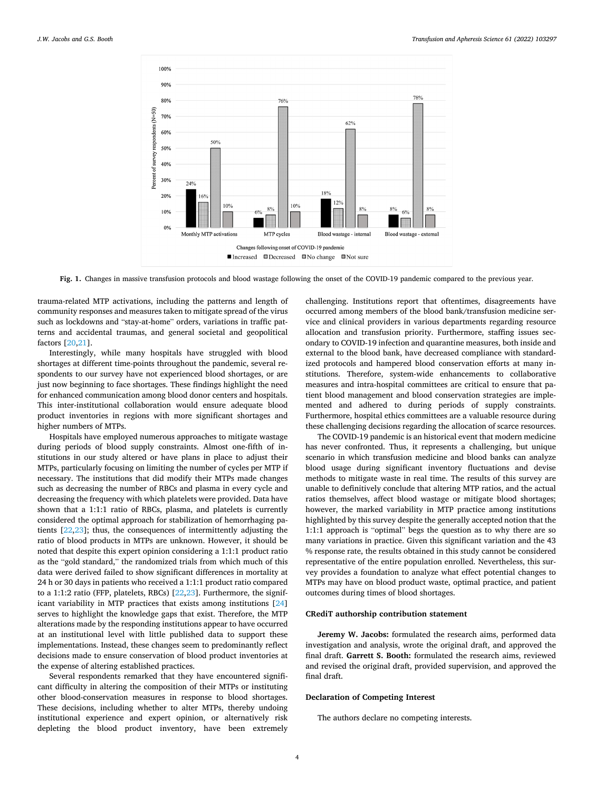<span id="page-3-0"></span>

**Fig. 1.** Changes in massive transfusion protocols and blood wastage following the onset of the COVID-19 pandemic compared to the previous year.

trauma-related MTP activations, including the patterns and length of community responses and measures taken to mitigate spread of the virus such as lockdowns and "stay-at-home" orders, variations in traffic patterns and accidental traumas, and general societal and geopolitical factors [\[20,21](#page-4-0)].

Interestingly, while many hospitals have struggled with blood shortages at different time-points throughout the pandemic, several respondents to our survey have not experienced blood shortages, or are just now beginning to face shortages. These findings highlight the need for enhanced communication among blood donor centers and hospitals. This inter-institutional collaboration would ensure adequate blood product inventories in regions with more significant shortages and higher numbers of MTPs.

Hospitals have employed numerous approaches to mitigate wastage during periods of blood supply constraints. Almost one-fifth of institutions in our study altered or have plans in place to adjust their MTPs, particularly focusing on limiting the number of cycles per MTP if necessary. The institutions that did modify their MTPs made changes such as decreasing the number of RBCs and plasma in every cycle and decreasing the frequency with which platelets were provided. Data have shown that a 1:1:1 ratio of RBCs, plasma, and platelets is currently considered the optimal approach for stabilization of hemorrhaging patients [[22,23\]](#page-4-0); thus, the consequences of intermittently adjusting the ratio of blood products in MTPs are unknown. However, it should be noted that despite this expert opinion considering a 1:1:1 product ratio as the "gold standard," the randomized trials from which much of this data were derived failed to show significant differences in mortality at 24 h or 30 days in patients who received a 1:1:1 product ratio compared to a 1:1:2 ratio (FFP, platelets, RBCs) [[22,23\]](#page-4-0). Furthermore, the significant variability in MTP practices that exists among institutions [\[24](#page-4-0)] serves to highlight the knowledge gaps that exist. Therefore, the MTP alterations made by the responding institutions appear to have occurred at an institutional level with little published data to support these implementations. Instead, these changes seem to predominantly reflect decisions made to ensure conservation of blood product inventories at the expense of altering established practices.

Several respondents remarked that they have encountered significant difficulty in altering the composition of their MTPs or instituting other blood-conservation measures in response to blood shortages. These decisions, including whether to alter MTPs, thereby undoing institutional experience and expert opinion, or alternatively risk depleting the blood product inventory, have been extremely

challenging. Institutions report that oftentimes, disagreements have occurred among members of the blood bank/transfusion medicine service and clinical providers in various departments regarding resource allocation and transfusion priority. Furthermore, staffing issues secondary to COVID-19 infection and quarantine measures, both inside and external to the blood bank, have decreased compliance with standardized protocols and hampered blood conservation efforts at many institutions. Therefore, system-wide enhancements to collaborative measures and intra-hospital committees are critical to ensure that patient blood management and blood conservation strategies are implemented and adhered to during periods of supply constraints. Furthermore, hospital ethics committees are a valuable resource during these challenging decisions regarding the allocation of scarce resources.

The COVID-19 pandemic is an historical event that modern medicine has never confronted. Thus, it represents a challenging, but unique scenario in which transfusion medicine and blood banks can analyze blood usage during significant inventory fluctuations and devise methods to mitigate waste in real time. The results of this survey are unable to definitively conclude that altering MTP ratios, and the actual ratios themselves, affect blood wastage or mitigate blood shortages; however, the marked variability in MTP practice among institutions highlighted by this survey despite the generally accepted notion that the 1:1:1 approach is "optimal" begs the question as to why there are so many variations in practice. Given this significant variation and the 43 % response rate, the results obtained in this study cannot be considered representative of the entire population enrolled. Nevertheless, this survey provides a foundation to analyze what effect potential changes to MTPs may have on blood product waste, optimal practice, and patient outcomes during times of blood shortages.

#### **CRediT authorship contribution statement**

**Jeremy W. Jacobs:** formulated the research aims, performed data investigation and analysis, wrote the original draft, and approved the final draft. **Garrett S. Booth:** formulated the research aims, reviewed and revised the original draft, provided supervision, and approved the final draft.

#### **Declaration of Competing Interest**

The authors declare no competing interests.